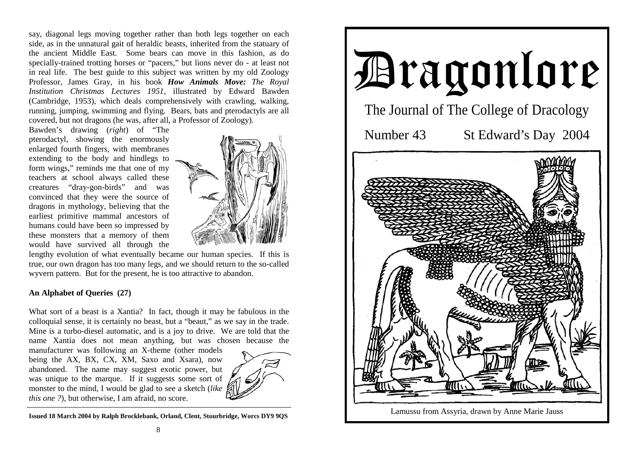say, diagonal legs moving together rather than both legs together on each side, as in the unnatural gait of heraldic beasts, inherited from the statuary of the ancient Middle East. Some bears can move in this fashion, as do specially-trained trotting horses or "pacers," but lions never do - at least not in real life. The best guide to this subject was written by my old Zoology Professor, James Gray, in his book *How Animals Move: The Royal Institution Christmas Lectures 1951,* illustrated by Edward Bawden (Cambridge, 1953), which deals comprehensively with crawling, walking, running, jumping, swimming and flying. Bears, bats and pterodactyls are all covered, but not dragons (he was, after all, a Professor of Zoology).

Bawden's drawing (*right*) of "The pterodactyl, showing the enormously enlarged fourth fingers, with membranes extending to the body and hindlegs to form wings," reminds me that one of my teachers at school always called these creatures "dray-gon-birds" and was convinced that they were the source of dragons in mythology, believing that the earliest primitive mammal ancestors of humans could have been so impressed by these monsters that a memory of them would have survived all through the



lengthy evolution of what eventually became our human species. If this is true, our own dragon has too many legs, and we should return to the so-called wyvern pattern. But for the present, he is too attractive to abandon.

## **An Alphabet of Queries (27)**

What sort of a beast is a Xantia? In fact, though it may be fabulous in the colloquial sense, it is certainly no beast, but a "beaut," as we say in the trade. Mine is a turbo-diesel automatic, and is a joy to drive. We are told that the name Xantia does not mean anything, but was chosen because the

manufacturer was following an X-theme (other models being the AX, BX, CX, XM, Saxo and Xsara), now abandoned. The name may suggest exotic power, but was unique to the marque. If it suggests some sort of monster to the mind, I would be glad to see a sketch (*like this one ?*), but otherwise, I am afraid, no score.



**Issued 18 March 2004 by Ralph Brocklebank, Orland, Clent, Stourbridge, Worcs DY9 9QS** 

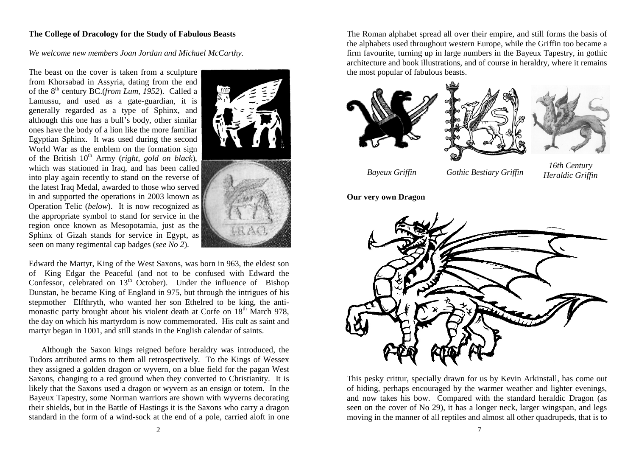## **The College of Dracology for the Study of Fabulous Beasts**

*We welcome new members Joan Jordan and Michael McCarthy.* 

The beast on the cover is taken from a sculpture from Khorsabad in Assyria, dating from the end of the 8th century BC.(*from Lum, 1952*). Called a Lamussu, and used as a gate-guardian, it is generally regarded as a type of Sphinx, and although this one has a bull's body, other similar ones have the body of a lion like the more familiar Egyptian Sphinx. It was used during the second World War as the emblem on the formation sign of the British 10<sup>th</sup> Army (*right, gold on black*), which was stationed in Iraq, and has been called into play again recently to stand on the reverse of the latest Iraq Medal, awarded to those who served in and supported the operations in 2003 known as Operation Telic (*below*). It is now recognized as the appropriate symbol to stand for service in the region once known as Mesopotamia, just as the Sphinx of Gizah stands for service in Egypt, as seen on many regimental cap badges (*see No 2*).



Edward the Martyr, King of the West Saxons, was born in 963, the eldest son of King Edgar the Peaceful (and not to be confused with Edward the Confessor, celebrated on  $13<sup>th</sup>$  October). Under the influence of Bishop Dunstan, he became King of England in 975, but through the intrigues of his stepmother Elfthryth, who wanted her son Ethelred to be king, the antimonastic party brought about his violent death at Corfe on  $18<sup>th</sup>$  March 978, the day on which his martyrdom is now commemorated. His cult as saint and martyr began in 1001, and still stands in the English calendar of saints.

 Although the Saxon kings reigned before heraldry was introduced, the Tudors attributed arms to them all retrospectively. To the Kings of Wessex they assigned a golden dragon or wyvern, on a blue field for the pagan West Saxons, changing to a red ground when they converted to Christianity. It is likely that the Saxons used a dragon or wyvern as an ensign or totem. In the Bayeux Tapestry, some Norman warriors are shown with wyverns decorating their shields, but in the Battle of Hastings it is the Saxons who carry a dragon standard in the form of a wind-sock at the end of a pole, carried aloft in one The Roman alphabet spread all over their empire, and still forms the basis of the alphabets used throughout western Europe, while the Griffin too became a firm favourite, turning up in large numbers in the Bayeux Tapestry, in gothic architecture and book illustrations, and of course in heraldry, where it remains the most popular of fabulous beasts.







*Bayeux Griffin Gothic Bestiary Griffin 16th Century Heraldic Griffin*

**Our very own Dragon**



This pesky crittur, specially drawn for us by Kevin Arkinstall, has come out of hiding, perhaps encouraged by the warmer weather and lighter evenings, and now takes his bow. Compared with the standard heraldic Dragon (as seen on the cover of No 29), it has a longer neck, larger wingspan, and legs moving in the manner of all reptiles and almost all other quadrupeds, that is to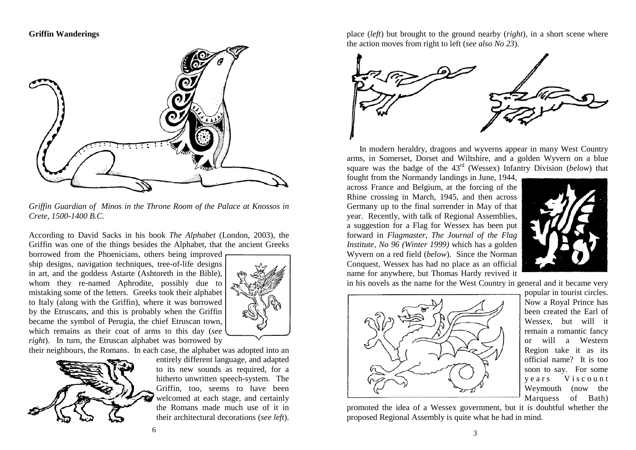## **Griffin Wanderings**



*Griffin Guardian of Minos in the Throne Room of the Palace at Knossos in Crete, 1500-1400 B.C.*

According to David Sacks in his book *The Alphabet* (London, 2003), the Griffin was one of the things besides the Alphabet, that the ancient Greeks

borrowed from the Phoenicians, others being improved ship designs, navigation techniques, tree-of-life designs in art, and the goddess Astarte (Ashtoreth in the Bible), whom they re-named Aphrodite, possibly due to mistaking some of the letters. Greeks took their alphabet to Italy (along with the Griffin), where it was borrowed by the Etruscans, and this is probably when the Griffin became the symbol of Perugia, the chief Etruscan town, which remains as their coat of arms to this day (*see right*). In turn, the Etruscan alphabet was borrowed by

their neighbours, the Romans. In each case, the alphabet was adopted into an



entirely different language, and adapted to its new sounds as required, for a hitherto unwritten speech-system. The Griffin, too, seems to have been welcomed at each stage, and certainly the Romans made much use of it in their architectural decorations (*see left*).

place (*left*) but brought to the ground nearby (*right*), in a short scene where the action moves from right to left (*see also No 23*).



 In modern heraldry, dragons and wyverns appear in many West Country arms, in Somerset, Dorset and Wiltshire, and a golden Wyvern on a blue square was the badge of the 43rd (Wessex) Infantry Division (*below*) that

fought from the Normandy landings in June, 1944, across France and Belgium, at the forcing of the Rhine crossing in March, 1945, and then across Germany up to the final surrender in May of that year. Recently, with talk of Regional Assemblies, a suggestion for a Flag for Wessex has been put forward in *Flagmaster, The Journal of the Flag Institute, No 96 (Winter 1999)* which has a golden Wyvern on a red field (*below*). Since the Norman Conquest, Wessex has had no place as an official name for anywhere, but Thomas Hardy revived it



in his novels as the name for the West Country in general and it became very



popular in tourist circles. Now a Royal Prince has been created the Earl of Wessex, but will it remain a romantic fancy or will a Western Region take it as its official name? It is too soon to say. For some y e ars Viscount Weymouth (now the Marquess of Bath)

promoted the idea of a Wessex government, but it is doubtful whether the proposed Regional Assembly is quite what he had in mind.